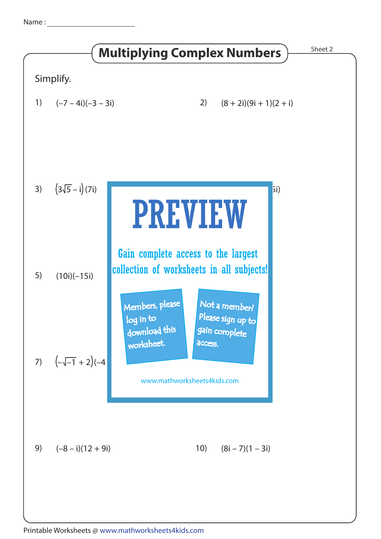